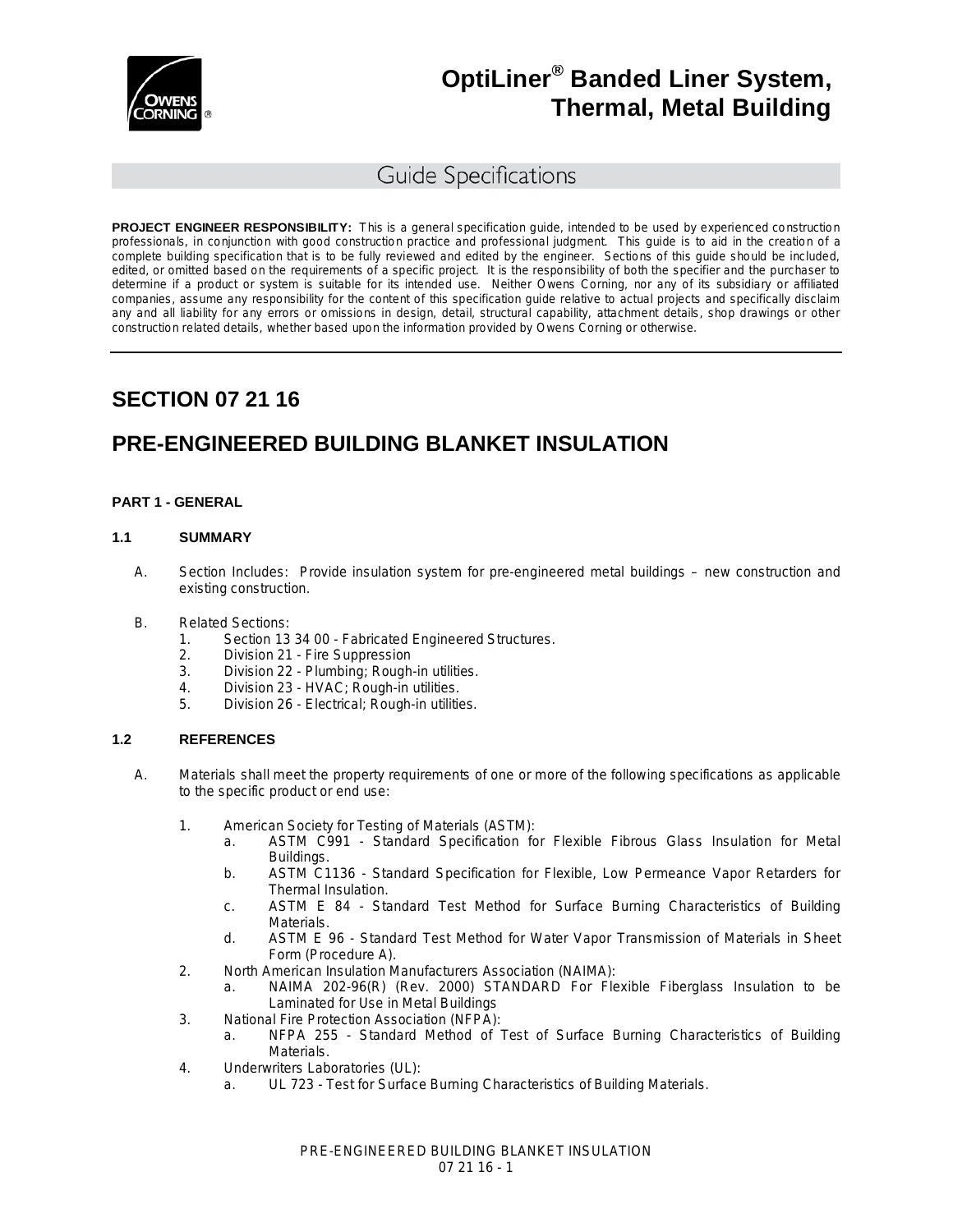

### Guide Specifications

**PROJECT ENGINEER RESPONSIBILITY:** This is a general specification guide, intended to be used by experienced construction professionals, in conjunction with good construction practice and professional judgment. This guide is to aid in the creation of a complete building specification that is to be fully reviewed and edited by the engineer. Sections of this guide should be included, edited, or omitted based on the requirements of a specific project. It is the responsibility of both the specifier and the purchaser to determine if a product or system is suitable for its intended use. Neither Owens Corning, nor any of its subsidiary or affiliated companies, assume any responsibility for the content of this specification guide relative to actual projects and specifically disclaim any and all liability for any errors or omissions in design, detail, structural capability, attachment details, shop drawings or other construction related details, whether based upon the information provided by Owens Corning or otherwise.

## **SECTION 07 21 16**

## **PRE-ENGINEERED BUILDING BLANKET INSULATION**

#### **PART 1 - GENERAL**

#### **1.1 SUMMARY**

- A. Section Includes: Provide insulation system for pre-engineered metal buildings new construction and existing construction.
- B. Related Sections:
	- 1. Section 13 34 00 Fabricated Engineered Structures.
	- 2. Division 21 Fire Suppression
	- 3. Division 22 Plumbing; Rough-in utilities.
	- 4. Division 23 HVAC; Rough-in utilities.
	- 5. Division 26 Electrical; Rough-in utilities.

#### **1.2 REFERENCES**

- A. Materials shall meet the property requirements of one or more of the following specifications as applicable to the specific product or end use:
	- 1. American Society for Testing of Materials (ASTM):
		- a. ASTM C991 Standard Specification for Flexible Fibrous Glass Insulation for Metal Buildings.
		- b. ASTM C1136 Standard Specification for Flexible, Low Permeance Vapor Retarders for Thermal Insulation.
		- c. ASTM E 84 Standard Test Method for Surface Burning Characteristics of Building Materials.
		- d. ASTM E 96 Standard Test Method for Water Vapor Transmission of Materials in Sheet Form (Procedure A).
	- 2. North American Insulation Manufacturers Association (NAIMA):
		- a. NAIMA 202-96(R) (Rev. 2000) STANDARD For Flexible Fiberglass Insulation to be Laminated for Use in Metal Buildings
	- 3. National Fire Protection Association (NFPA):
		- a. NFPA 255 Standard Method of Test of Surface Burning Characteristics of Building Materials.
	- 4. Underwriters Laboratories (UL):
		- a. UL 723 Test for Surface Burning Characteristics of Building Materials.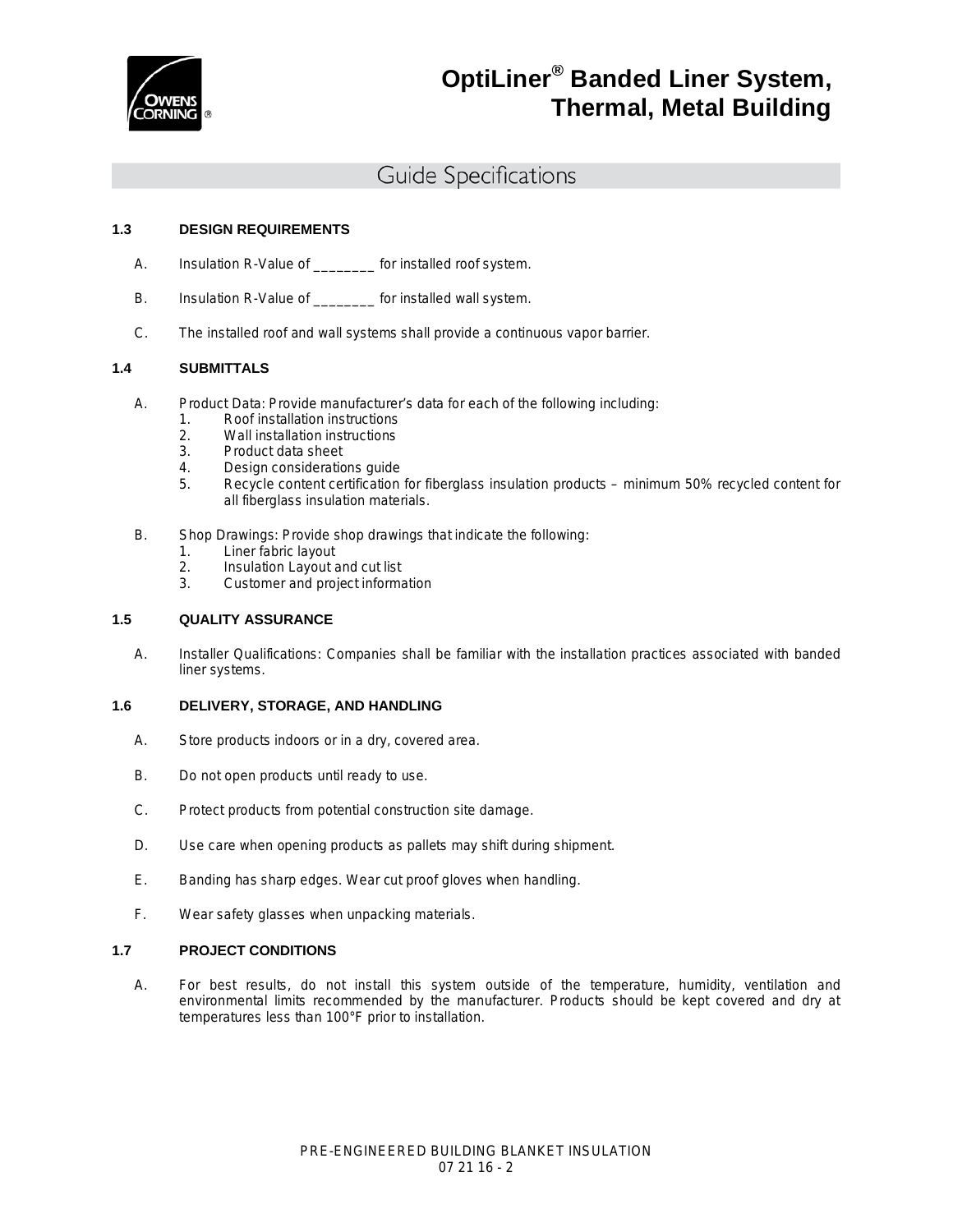

### Guide Specifications

#### **1.3 DESIGN REQUIREMENTS**

- A. Insulation R-Value of \_\_\_\_\_\_\_\_ for installed roof system.
- B. Insulation R-Value of \_\_\_\_\_\_\_\_ for installed wall system.
- C. The installed roof and wall systems shall provide a continuous vapor barrier.

#### **1.4 SUBMITTALS**

- A. Product Data: Provide manufacturer's data for each of the following including:
	- 1. Roof installation instructions<br>2. Wall installation instructions
	- 2. Wall installation instructions<br>3. Product data sheet
	- Product data sheet
	- 4. Design considerations guide
	- 5. Recycle content certification for fiberglass insulation products minimum 50% recycled content for all fiberglass insulation materials.
- B. Shop Drawings: Provide shop drawings that indicate the following:
	- 1. Liner fabric layout
	- 2. Insulation Layout and cut list<br>3. Customer and project informa
	- 3. Customer and project information

#### **1.5 QUALITY ASSURANCE**

A. Installer Qualifications: Companies shall be familiar with the installation practices associated with banded liner systems.

#### **1.6 DELIVERY, STORAGE, AND HANDLING**

- A. Store products indoors or in a dry, covered area.
- B. Do not open products until ready to use.
- C. Protect products from potential construction site damage.
- D. Use care when opening products as pallets may shift during shipment.
- E. Banding has sharp edges. Wear cut proof gloves when handling.
- F. Wear safety glasses when unpacking materials.

#### **1.7 PROJECT CONDITIONS**

A. For best results, do not install this system outside of the temperature, humidity, ventilation and environmental limits recommended by the manufacturer. Products should be kept covered and dry at temperatures less than 100°F prior to installation.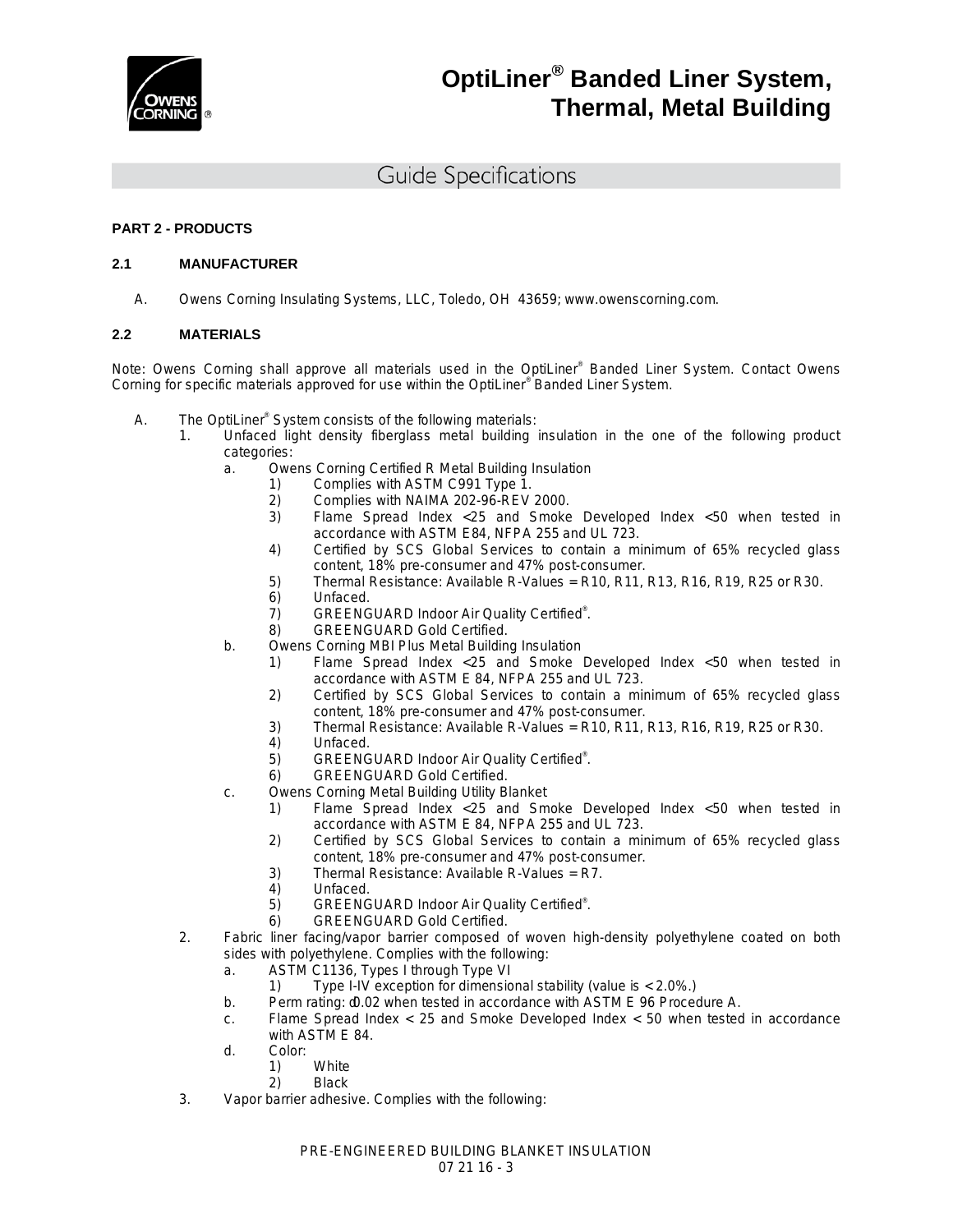

### Guide Specifications

#### **PART 2 - PRODUCTS**

#### **2.1 MANUFACTURER**

A. Owens Corning Insulating Systems, LLC, Toledo, OH 43659; [www.owenscorning.com.](http://www.owenscorning.com/)

#### **2.2 MATERIALS**

Note: Owens Corning shall approve all materials used in the OptiLiner® Banded Liner System. Contact Owens Corning for specific materials approved for use within the OptiLiner® Banded Liner System.

- A. The OptiLiner® System consists of the following materials:
	- 1. Unfaced light density fiberglass metal building insulation in the one of the following product categories:
		- a. Owens Corning Certified R Metal Building Insulation
			-
			- 1) Complies with ASTM C991 Type 1.<br>2) Complies with NAIMA 202-96-REV 2) Complies with NAIMA 202-96-REV 2000.
			- 3) Flame Spread Index <25 and Smoke Developed Index <50 when tested in accordance with ASTM E84, NFPA 255 and UL 723.
			- 4) Certified by SCS Global Services to contain a minimum of 65% recycled glass content, 18% pre-consumer and 47% post-consumer.
			- 5) Thermal Resistance: Available R-Values = R10, R11, R13, R16, R19, R25 or R30.<br>6) Unfaced.
			- 6) Unfaced.<br>7) GREENG
			- 7) GREENGUARD Indoor Air Quality Certified®.
			- 8) GREENGUARD Gold Certified.
		- b. Owens Corning MBI Plus Metal Building Insulation
			- 1) Flame Spread Index <25 and Smoke Developed Index <50 when tested in accordance with ASTM E 84, NFPA 255 and UL 723.
			- 2) Certified by SCS Global Services to contain a minimum of 65% recycled glass content, 18% pre-consumer and 47% post-consumer.
			- 3) Thermal Resistance: Available R-Values = R10, R11, R13, R16, R19, R25 or R30.<br>4) Unfaced.
			- 4) Unfaced.
			- 5) GREENGUARD Indoor Air Quality Certified®.
			- 6) GREENGUARD Gold Certified.
		- c. Owens Corning Metal Building Utility Blanket
			- 1) Flame Spread Index <25 and Smoke Developed Index <50 when tested in accordance with ASTM E 84, NFPA 255 and UL 723.
			- 2) Certified by SCS Global Services to contain a minimum of 65% recycled glass content, 18% pre-consumer and 47% post-consumer.
			- 3) Thermal Resistance: Available R-Values = R7.
			- Unfaced.
			- 5) GREENGUARD Indoor Air Quality Certified®.
		- 6) GREENGUARD Gold Certified.
	- 2. Fabric liner facing/vapor barrier composed of woven high-density polyethylene coated on both sides with polyethylene. Complies with the following:
		- a. ASTM C1136, Types I through Type VI
			- 1) Type I-IV exception for dimensional stability (value is < 2.0%.)
		- b. Perm rating:  $d0.02$  when tested in accordance with ASTM E 96 Procedure A.
		- c. Flame Spread Index < 25 and Smoke Developed Index < 50 when tested in accordance with ASTM E 84.
		- d. Color:
			- 1) White
			- 2) Black
	- 3. Vapor barrier adhesive. Complies with the following: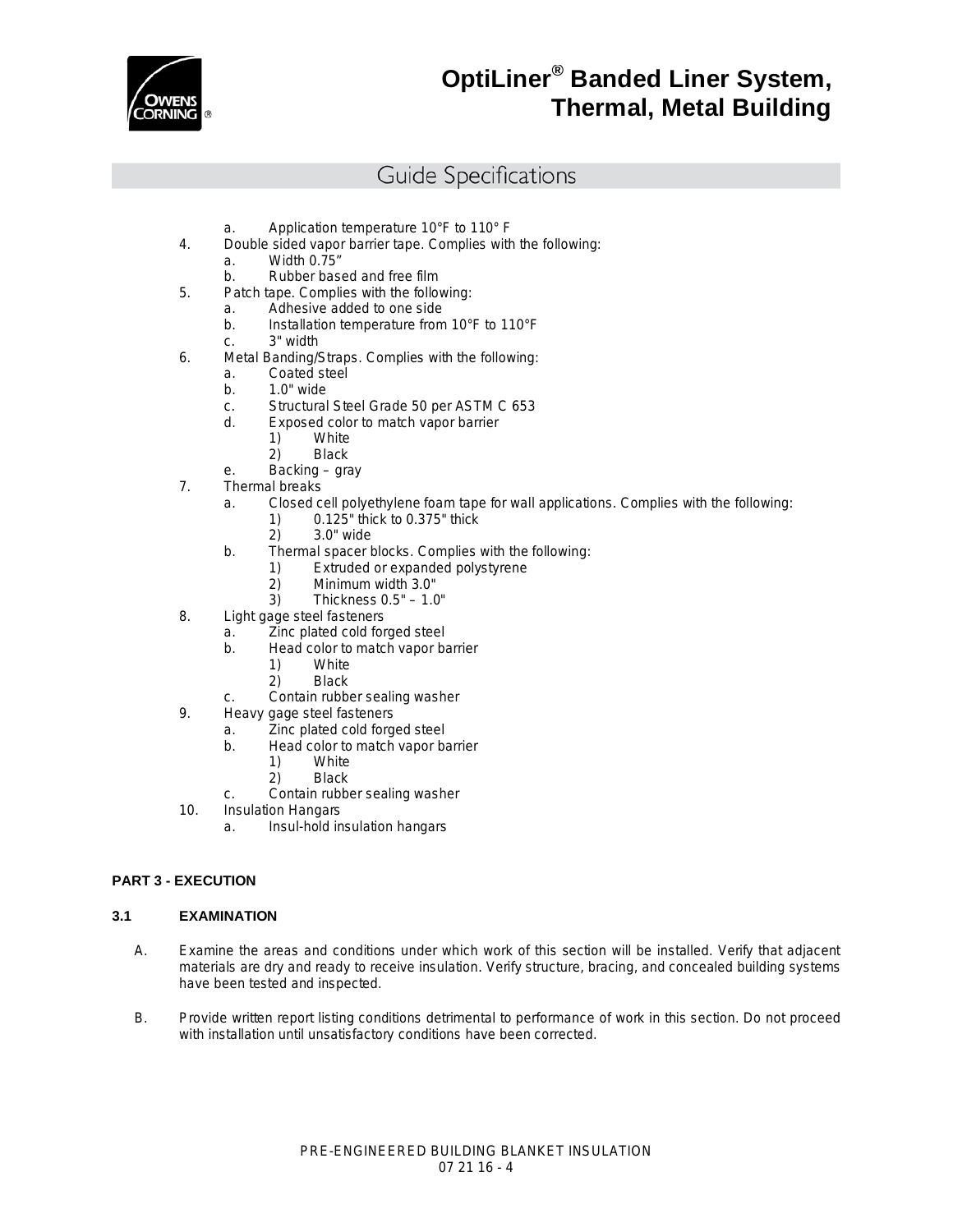

### Guide Specifications

- a. Application temperature 10°F to 110° F
- 4. Double sided vapor barrier tape. Complies with the following:
	- a. Width 0.75"
	- b. Rubber based and free film
- 5. Patch tape. Complies with the following:
	- a. Adhesive added to one side
	- b. Installation temperature from 10°F to 110°F
	- c. 3" width
- 6. Metal Banding/Straps. Complies with the following:
	- a. Coated steel
	- b. 1.0" wide
	- c. Structural Steel Grade 50 per ASTM C 653
	- d. Exposed color to match vapor barrier
		- 1) White
		- 2) Black
	- e. Backing gray
- 7. Thermal breaks
	- a. Closed cell polyethylene foam tape for wall applications. Complies with the following:
		- 1) 0.125" thick to 0.375" thick
		- 2) 3.0" wide
	- b. Thermal spacer blocks. Complies with the following:
		- 1) Extruded or expanded polystyrene
		- $2)$  Minimum width 3.0"<br>3) Thickness 0.5" 1.0
			- Thickness  $0.5" 1.0"$
- 8. Light gage steel fasteners
	- a. Zinc plated cold forged steel
		- b. Head color to match vapor barrier
			- 1) White
			- 2) Black
	- c. Contain rubber sealing washer
- 9. Heavy gage steel fasteners
	- a. Zinc plated cold forged steel
	- b. Head color to match vapor barrier
		- 1) White<br>2) Black
			- **Black**
	- c. Contain rubber sealing washer
- 10. Insulation Hangars
	- a. Insul-hold insulation hangars

#### **PART 3 - EXECUTION**

#### **3.1 EXAMINATION**

- A. Examine the areas and conditions under which work of this section will be installed. Verify that adjacent materials are dry and ready to receive insulation. Verify structure, bracing, and concealed building systems have been tested and inspected.
- B. Provide written report listing conditions detrimental to performance of work in this section. Do not proceed with installation until unsatisfactory conditions have been corrected.